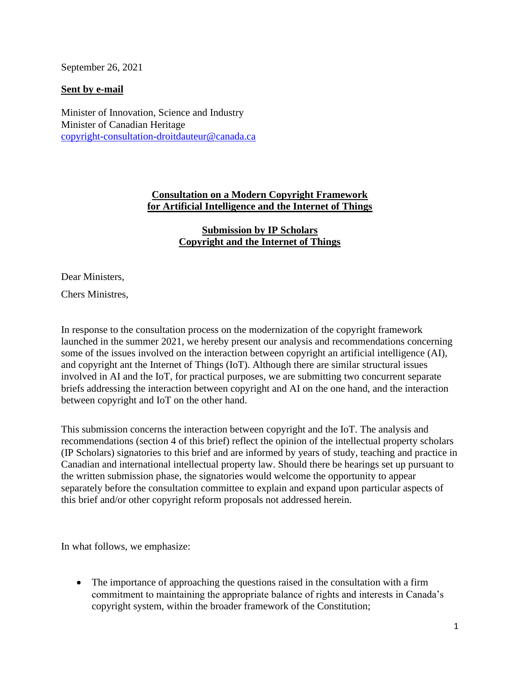September 26, 2021

#### **Sent by e-mail**

Minister of Innovation, Science and Industry Minister of Canadian Heritage [copyright-consultation-droitdauteur@canada.ca](mailto:copyright-consultation-droitdauteur@canada.ca)

# **Consultation on a Modern Copyright Framework for Artificial Intelligence and the Internet of Things**

# **Submission by IP Scholars Copyright and the Internet of Things**

Dear Ministers,

Chers Ministres,

In response to the consultation process on the modernization of the copyright framework launched in the summer 2021, we hereby present our analysis and recommendations concerning some of the issues involved on the interaction between copyright an artificial intelligence (AI), and copyright ant the Internet of Things (IoT). Although there are similar structural issues involved in AI and the IoT, for practical purposes, we are submitting two concurrent separate briefs addressing the interaction between copyright and AI on the one hand, and the interaction between copyright and IoT on the other hand.

This submission concerns the interaction between copyright and the IoT. The analysis and recommendations (section 4 of this brief) reflect the opinion of the intellectual property scholars (IP Scholars) signatories to this brief and are informed by years of study, teaching and practice in Canadian and international intellectual property law. Should there be hearings set up pursuant to the written submission phase, the signatories would welcome the opportunity to appear separately before the consultation committee to explain and expand upon particular aspects of this brief and/or other copyright reform proposals not addressed herein.

In what follows, we emphasize:

• The importance of approaching the questions raised in the consultation with a firm commitment to maintaining the appropriate balance of rights and interests in Canada's copyright system, within the broader framework of the Constitution;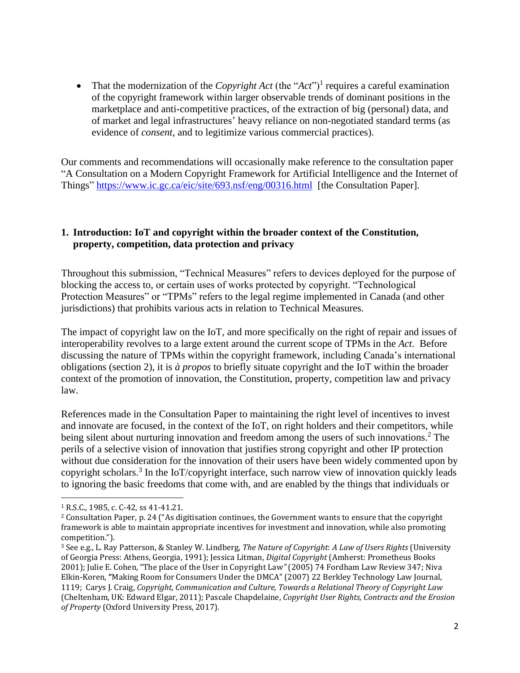• That the modernization of the *Copyright Act* (the " $Act$ ")<sup>1</sup> requires a careful examination of the copyright framework within larger observable trends of dominant positions in the marketplace and anti-competitive practices, of the extraction of big (personal) data, and of market and legal infrastructures' heavy reliance on non-negotiated standard terms (as evidence of *consent*, and to legitimize various commercial practices).

Our comments and recommendations will occasionally make reference to the consultation paper "A Consultation on a Modern Copyright Framework for Artificial Intelligence and the Internet of Things"<https://www.ic.gc.ca/eic/site/693.nsf/eng/00316.html> [the Consultation Paper].

# **1. Introduction: IoT and copyright within the broader context of the Constitution, property, competition, data protection and privacy**

Throughout this submission, "Technical Measures" refers to devices deployed for the purpose of blocking the access to, or certain uses of works protected by copyright. "Technological Protection Measures" or "TPMs" refers to the legal regime implemented in Canada (and other jurisdictions) that prohibits various acts in relation to Technical Measures.

The impact of copyright law on the IoT, and more specifically on the right of repair and issues of interoperability revolves to a large extent around the current scope of TPMs in the *Act*. Before discussing the nature of TPMs within the copyright framework, including Canada's international obligations (section 2), it is *à propos* to briefly situate copyright and the IoT within the broader context of the promotion of innovation, the Constitution, property, competition law and privacy law.

References made in the Consultation Paper to maintaining the right level of incentives to invest and innovate are focused, in the context of the IoT, on right holders and their competitors, while being silent about nurturing innovation and freedom among the users of such innovations. <sup>2</sup> The perils of a selective vision of innovation that justifies strong copyright and other IP protection without due consideration for the innovation of their users have been widely commented upon by copyright scholars.<sup>3</sup> In the IoT/copyright interface, such narrow view of innovation quickly leads to ignoring the basic freedoms that come with, and are enabled by the things that individuals or

<sup>1</sup> R.S.C., 1985, c. C-42, ss 41-41.21.

<sup>2</sup> Consultation Paper, p. 24 ("As digitisation continues, the Government wants to ensure that the copyright framework is able to maintain appropriate incentives for investment and innovation, while also promoting competition.").

<sup>3</sup> See e.g., L. Ray Patterson, & Stanley W. Lindberg, *The Nature of Copyright*: *A Law of Users Rights* (University of Georgia Press: Athens, Georgia, 1991); Jessica Litman, *Digital Copyright* (Amherst: Prometheus Books 2001); Julie E. Cohen, "The place of the User in Copyright Law*"* (2005) 74 Fordham Law Review 347; Niva Elkin-Koren, **"**Making Room for Consumers Under the DMCA" (2007) 22 Berkley Technology Law Journal, 1119;Carys J. Craig, *Copyright, Communication and Culture, Towards a Relational Theory of Copyright Law* (Cheltenham, UK: Edward Elgar, 2011); Pascale Chapdelaine, *Copyright User Rights, Contracts and the Erosion of Property* (Oxford University Press, 2017).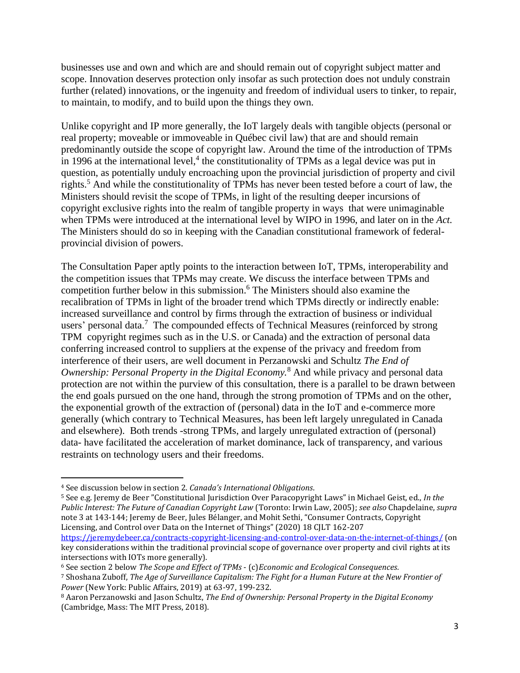businesses use and own and which are and should remain out of copyright subject matter and scope. Innovation deserves protection only insofar as such protection does not unduly constrain further (related) innovations, or the ingenuity and freedom of individual users to tinker, to repair, to maintain, to modify, and to build upon the things they own.

Unlike copyright and IP more generally, the IoT largely deals with tangible objects (personal or real property; moveable or immoveable in Québec civil law) that are and should remain predominantly outside the scope of copyright law. Around the time of the introduction of TPMs in 1996 at the international level, 4 the constitutionality of TPMs as a legal device was put in question, as potentially unduly encroaching upon the provincial jurisdiction of property and civil rights.<sup>5</sup> And while the constitutionality of TPMs has never been tested before a court of law, the Ministers should revisit the scope of TPMs, in light of the resulting deeper incursions of copyright exclusive rights into the realm of tangible property in ways that were unimaginable when TPMs were introduced at the international level by WIPO in 1996, and later on in the *Act.* The Ministers should do so in keeping with the Canadian constitutional framework of federalprovincial division of powers.

The Consultation Paper aptly points to the interaction between IoT, TPMs, interoperability and the competition issues that TPMs may create. We discuss the interface between TPMs and competition further below in this submission. <sup>6</sup> The Ministers should also examine the recalibration of TPMs in light of the broader trend which TPMs directly or indirectly enable: increased surveillance and control by firms through the extraction of business or individual users' personal data.<sup>7</sup> The compounded effects of Technical Measures (reinforced by strong TPM copyright regimes such as in the U.S. or Canada) and the extraction of personal data conferring increased control to suppliers at the expense of the privacy and freedom from interference of their users, are well document in Perzanowski and Schultz *The End of Ownership: Personal Property in the Digital Economy.*<sup>8</sup> And while privacy and personal data protection are not within the purview of this consultation, there is a parallel to be drawn between the end goals pursued on the one hand, through the strong promotion of TPMs and on the other, the exponential growth of the extraction of (personal) data in the IoT and e-commerce more generally (which contrary to Technical Measures, has been left largely unregulated in Canada and elsewhere). Both trends -strong TPMs, and largely unregulated extraction of (personal) data- have facilitated the acceleration of market dominance, lack of transparency, and various restraints on technology users and their freedoms.

<sup>5</sup> See e.g. Jeremy de Beer "Constitutional Jurisdiction Over Paracopyright Laws" in Michael Geist, ed., *In the Public Interest: The Future of Canadian Copyright Law* (Toronto: Irwin Law, 2005); *see also* Chapdelaine, *supra*  note 3 at 143-144; Jeremy de Beer, Jules Bélanger, and Mohit Sethi, "Consumer Contracts, Copyright Licensing, and Control over Data on the Internet of Things" (2020) 18 CJLT 162-207 <https://jeremydebeer.ca/contracts-copyright-licensing-and-control-over-data-on-the-internet-of-things/> (on

key considerations within the traditional provincial scope of governance over property and civil rights at its intersections with IOTs more generally).

<sup>4</sup> See discussion below in section 2. *Canada's International Obligations*.

<sup>6</sup> See section 2 below *The Scope and Effect of TPMs* - (c)*Economic and Ecological Consequences.*

<sup>7</sup> Shoshana Zuboff, *The Age of Surveillance Capitalism: The Fight for a Human Future at the New Frontier of Power* (New York: Public Affairs, 2019) at 63-97, 199-232.

<sup>8</sup> Aaron Perzanowski and Jason Schultz, *The End of Ownership: Personal Property in the Digital Economy* (Cambridge, Mass: The MIT Press, 2018).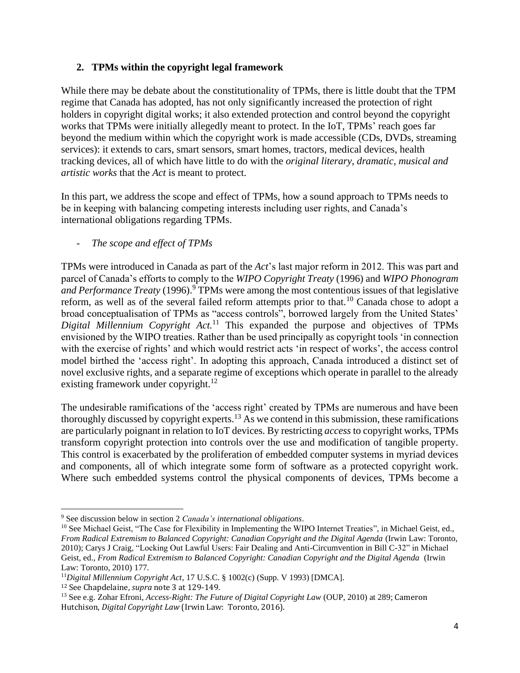# **2. TPMs within the copyright legal framework**

While there may be debate about the constitutionality of TPMs, there is little doubt that the TPM regime that Canada has adopted, has not only significantly increased the protection of right holders in copyright digital works; it also extended protection and control beyond the copyright works that TPMs were initially allegedly meant to protect. In the IoT, TPMs' reach goes far beyond the medium within which the copyright work is made accessible (CDs, DVDs, streaming services): it extends to cars, smart sensors, smart homes, tractors, medical devices, health tracking devices, all of which have little to do with the *original literary, dramatic, musical and artistic works* that the *Act* is meant to protect.

In this part, we address the scope and effect of TPMs, how a sound approach to TPMs needs to be in keeping with balancing competing interests including user rights, and Canada's international obligations regarding TPMs.

The scope and effect of TPMs

TPMs were introduced in Canada as part of the *Act*'s last major reform in 2012. This was part and parcel of Canada's efforts to comply to the *WIPO Copyright Treaty* (1996) and *WIPO Phonogram and Performance Treaty* (1996).<sup>9</sup> TPMs were among the most contentious issues of that legislative reform, as well as of the several failed reform attempts prior to that.<sup>10</sup> Canada chose to adopt a broad conceptualisation of TPMs as "access controls", borrowed largely from the United States' *Digital Millennium Copyright Act.*<sup>11</sup> This expanded the purpose and objectives of TPMs envisioned by the WIPO treaties. Rather than be used principally as copyright tools 'in connection with the exercise of rights' and which would restrict acts 'in respect of works', the access control model birthed the 'access right'. In adopting this approach, Canada introduced a distinct set of novel exclusive rights, and a separate regime of exceptions which operate in parallel to the already existing framework under copyright.<sup>12</sup>

The undesirable ramifications of the 'access right' created by TPMs are numerous and have been thoroughly discussed by copyright experts.<sup>13</sup> As we contend in this submission, these ramifications are particularly poignant in relation to IoT devices. By restricting *access* to copyright works, TPMs transform copyright protection into controls over the use and modification of tangible property. This control is exacerbated by the proliferation of embedded computer systems in myriad devices and components, all of which integrate some form of software as a protected copyright work. Where such embedded systems control the physical components of devices, TPMs become a

<sup>9</sup> See discussion below in section 2 *Canada's international obligations*.

<sup>&</sup>lt;sup>10</sup> See Michael Geist, "The Case for Flexibility in Implementing the WIPO Internet Treaties", in Michael Geist, ed., *From Radical Extremism to Balanced Copyright: Canadian Copyright and the Digital Agenda* (Irwin Law: Toronto, 2010); Carys J Craig, "Locking Out Lawful Users: Fair Dealing and Anti-Circumvention in Bill C-32" in Michael Geist, ed., *From Radical Extremism to Balanced Copyright: Canadian Copyright and the Digital Agenda* (Irwin Law: Toronto, 2010) 177.

<sup>11</sup>*Digital Millennium Copyright Act*, 17 U.S.C. § 1002(c) (Supp. V 1993) [DMCA]. <sup>12</sup> See Chapdelaine, *supra* note 3 at 129-149.

<sup>13</sup> See e.g. Zohar Efroni, *Access-Right: The Future of Digital Copyright Law* (OUP, 2010) at 289; Cameron Hutchison, *Digital Copyright Law* (Irwin Law: Toronto, 2016).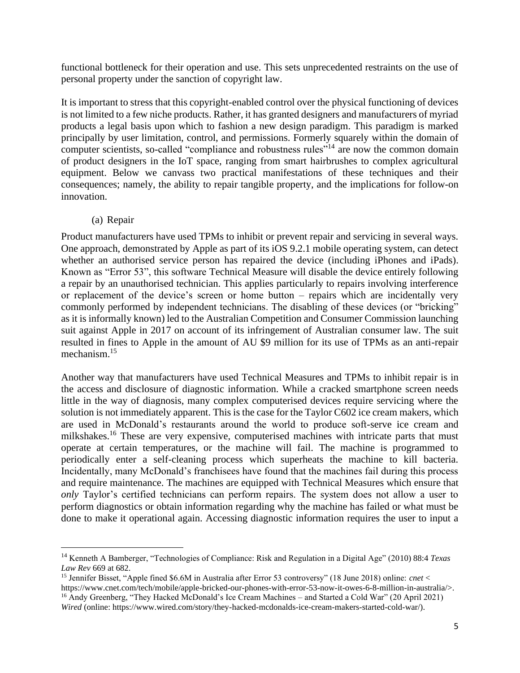functional bottleneck for their operation and use. This sets unprecedented restraints on the use of personal property under the sanction of copyright law.

It is important to stress that this copyright-enabled control over the physical functioning of devices is not limited to a few niche products. Rather, it has granted designers and manufacturers of myriad products a legal basis upon which to fashion a new design paradigm. This paradigm is marked principally by user limitation, control, and permissions. Formerly squarely within the domain of computer scientists, so-called "compliance and robustness rules"<sup>14</sup> are now the common domain of product designers in the IoT space, ranging from smart hairbrushes to complex agricultural equipment. Below we canvass two practical manifestations of these techniques and their consequences; namely, the ability to repair tangible property, and the implications for follow-on innovation.

#### (a) Repair

Product manufacturers have used TPMs to inhibit or prevent repair and servicing in several ways. One approach, demonstrated by Apple as part of its iOS 9.2.1 mobile operating system, can detect whether an authorised service person has repaired the device (including iPhones and iPads). Known as "Error 53", this software Technical Measure will disable the device entirely following a repair by an unauthorised technician. This applies particularly to repairs involving interference or replacement of the device's screen or home button – repairs which are incidentally very commonly performed by independent technicians. The disabling of these devices (or "bricking" as it is informally known) led to the Australian Competition and Consumer Commission launching suit against Apple in 2017 on account of its infringement of Australian consumer law. The suit resulted in fines to Apple in the amount of AU \$9 million for its use of TPMs as an anti-repair mechanism.<sup>15</sup>

Another way that manufacturers have used Technical Measures and TPMs to inhibit repair is in the access and disclosure of diagnostic information. While a cracked smartphone screen needs little in the way of diagnosis, many complex computerised devices require servicing where the solution is not immediately apparent. This is the case for the Taylor C602 ice cream makers, which are used in McDonald's restaurants around the world to produce soft-serve ice cream and milkshakes.<sup>16</sup> These are very expensive, computerised machines with intricate parts that must operate at certain temperatures, or the machine will fail. The machine is programmed to periodically enter a self-cleaning process which superheats the machine to kill bacteria. Incidentally, many McDonald's franchisees have found that the machines fail during this process and require maintenance. The machines are equipped with Technical Measures which ensure that *only* Taylor's certified technicians can perform repairs. The system does not allow a user to perform diagnostics or obtain information regarding why the machine has failed or what must be done to make it operational again. Accessing diagnostic information requires the user to input a

<sup>14</sup> Kenneth A Bamberger, "Technologies of Compliance: Risk and Regulation in a Digital Age" (2010) 88:4 *Texas Law Rev* 669 at 682.

<sup>15</sup> Jennifer Bisset, "Apple fined \$6.6M in Australia after Error 53 controversy" (18 June 2018) online: *cnet* < https://www.cnet.com/tech/mobile/apple-bricked-our-phones-with-error-53-now-it-owes-6-8-million-in-australia/>. <sup>16</sup> Andy Greenberg, "They Hacked McDonald's Ice Cream Machines – and Started a Cold War" (20 April 2021) *Wired* (online: https://www.wired.com/story/they-hacked-mcdonalds-ice-cream-makers-started-cold-war/).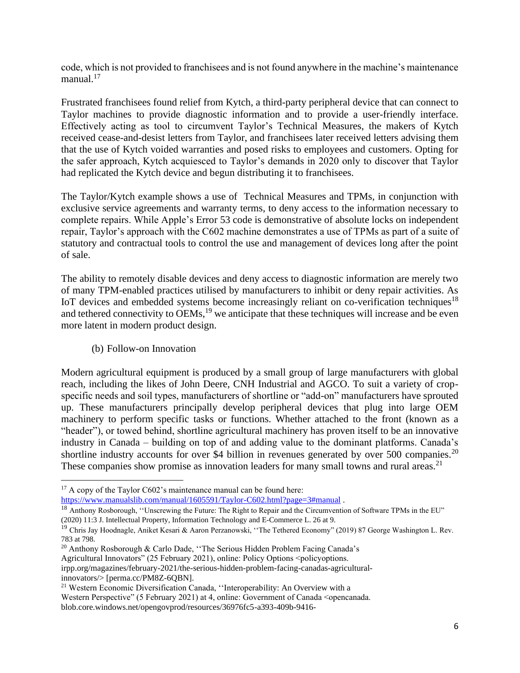code, which is not provided to franchisees and is not found anywhere in the machine's maintenance manual. $17$ 

Frustrated franchisees found relief from Kytch, a third-party peripheral device that can connect to Taylor machines to provide diagnostic information and to provide a user-friendly interface. Effectively acting as tool to circumvent Taylor's Technical Measures, the makers of Kytch received cease-and-desist letters from Taylor, and franchisees later received letters advising them that the use of Kytch voided warranties and posed risks to employees and customers. Opting for the safer approach, Kytch acquiesced to Taylor's demands in 2020 only to discover that Taylor had replicated the Kytch device and begun distributing it to franchisees.

The Taylor/Kytch example shows a use of Technical Measures and TPMs, in conjunction with exclusive service agreements and warranty terms, to deny access to the information necessary to complete repairs. While Apple's Error 53 code is demonstrative of absolute locks on independent repair, Taylor's approach with the C602 machine demonstrates a use of TPMs as part of a suite of statutory and contractual tools to control the use and management of devices long after the point of sale.

The ability to remotely disable devices and deny access to diagnostic information are merely two of many TPM-enabled practices utilised by manufacturers to inhibit or deny repair activities. As IoT devices and embedded systems become increasingly reliant on co-verification techniques<sup>18</sup> and tethered connectivity to OEMs,<sup>19</sup> we anticipate that these techniques will increase and be even more latent in modern product design.

(b) Follow-on Innovation

Modern agricultural equipment is produced by a small group of large manufacturers with global reach, including the likes of John Deere, CNH Industrial and AGCO. To suit a variety of cropspecific needs and soil types, manufacturers of shortline or "add-on" manufacturers have sprouted up. These manufacturers principally develop peripheral devices that plug into large OEM machinery to perform specific tasks or functions. Whether attached to the front (known as a "header"), or towed behind, shortline agricultural machinery has proven itself to be an innovative industry in Canada – building on top of and adding value to the dominant platforms. Canada's shortline industry accounts for over \$4 billion in revenues generated by over 500 companies.<sup>20</sup> These companies show promise as innovation leaders for many small towns and rural areas.<sup>21</sup>

irpp.org/magazines/february-2021/the-serious-hidden-problem-facing-canadas-agriculturalinnovators/> [perma.cc/PM8Z-6QBN].

 $17$  A copy of the Taylor C602's maintenance manual can be found here:

<https://www.manualslib.com/manual/1605591/Taylor-C602.html?page=3#manual>.

<sup>&</sup>lt;sup>18</sup> Anthony Rosborough, "Unscrewing the Future: The Right to Repair and the Circumvention of Software TPMs in the EU" (2020) 11:3 J. Intellectual Property, Information Technology and E-Commerce L. 26 at 9.

<sup>&</sup>lt;sup>19</sup> Chris Jay Hoodnagle, Aniket Kesari & Aaron Perzanowski, "The Tethered Economy" (2019) 87 George Washington L. Rev. 783 at 798.

<sup>&</sup>lt;sup>20</sup> Anthony Rosborough & Carlo Dade, "The Serious Hidden Problem Facing Canada's

Agricultural Innovators" (25 February 2021), online: Policy Options <policyoptions.

<sup>21</sup> Western Economic Diversification Canada, ''Interoperability: An Overview with a Western Perspective" (5 February 2021) at 4, online: Government of Canada <opencanada. blob.core.windows.net/opengovprod/resources/36976fc5-a393-409b-9416-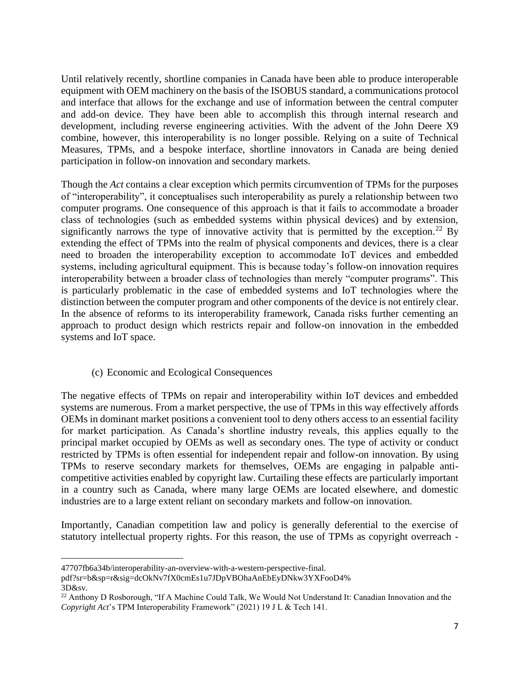Until relatively recently, shortline companies in Canada have been able to produce interoperable equipment with OEM machinery on the basis of the ISOBUS standard, a communications protocol and interface that allows for the exchange and use of information between the central computer and add-on device. They have been able to accomplish this through internal research and development, including reverse engineering activities. With the advent of the John Deere X9 combine, however, this interoperability is no longer possible. Relying on a suite of Technical Measures, TPMs, and a bespoke interface, shortline innovators in Canada are being denied participation in follow-on innovation and secondary markets.

Though the *Act* contains a clear exception which permits circumvention of TPMs for the purposes of "interoperability", it conceptualises such interoperability as purely a relationship between two computer programs. One consequence of this approach is that it fails to accommodate a broader class of technologies (such as embedded systems within physical devices) and by extension, significantly narrows the type of innovative activity that is permitted by the exception.<sup>22</sup> By extending the effect of TPMs into the realm of physical components and devices, there is a clear need to broaden the interoperability exception to accommodate IoT devices and embedded systems, including agricultural equipment. This is because today's follow-on innovation requires interoperability between a broader class of technologies than merely "computer programs". This is particularly problematic in the case of embedded systems and IoT technologies where the distinction between the computer program and other components of the device is not entirely clear. In the absence of reforms to its interoperability framework, Canada risks further cementing an approach to product design which restricts repair and follow-on innovation in the embedded systems and IoT space.

# (c) Economic and Ecological Consequences

The negative effects of TPMs on repair and interoperability within IoT devices and embedded systems are numerous. From a market perspective, the use of TPMs in this way effectively affords OEMs in dominant market positions a convenient tool to deny others access to an essential facility for market participation. As Canada's shortline industry reveals, this applies equally to the principal market occupied by OEMs as well as secondary ones. The type of activity or conduct restricted by TPMs is often essential for independent repair and follow-on innovation. By using TPMs to reserve secondary markets for themselves, OEMs are engaging in palpable anticompetitive activities enabled by copyright law. Curtailing these effects are particularly important in a country such as Canada, where many large OEMs are located elsewhere, and domestic industries are to a large extent reliant on secondary markets and follow-on innovation.

Importantly, Canadian competition law and policy is generally deferential to the exercise of statutory intellectual property rights. For this reason, the use of TPMs as copyright overreach -

<sup>47707</sup>fb6a34b/interoperability-an-overview-with-a-western-perspective-final.

pdf?sr=b&sp=r&sig=dcOkNv7fX0cmEs1u7JDpVBOhaAnEbEyDNkw3YXFooD4% 3D&sv.

<sup>&</sup>lt;sup>22</sup> Anthony D Rosborough, "If A Machine Could Talk, We Would Not Understand It: Canadian Innovation and the *Copyright Act*'s TPM Interoperability Framework" (2021) 19 J L & Tech 141.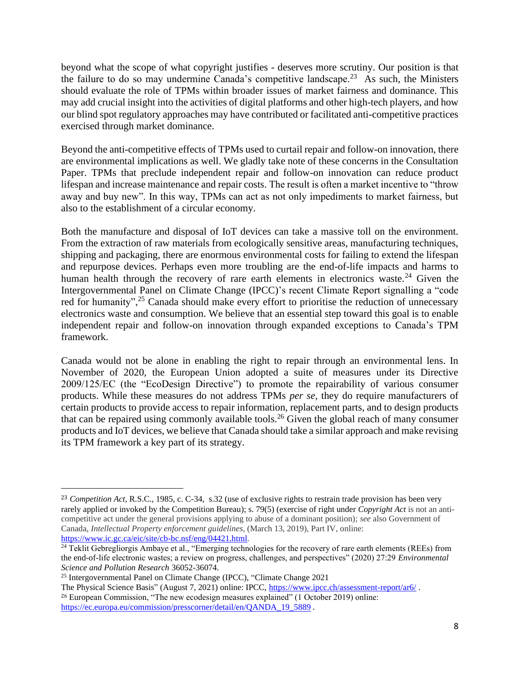beyond what the scope of what copyright justifies - deserves more scrutiny. Our position is that the failure to do so may undermine Canada's competitive landscape.<sup>23</sup> As such, the Ministers should evaluate the role of TPMs within broader issues of market fairness and dominance. This may add crucial insight into the activities of digital platforms and other high-tech players, and how our blind spot regulatory approaches may have contributed or facilitated anti-competitive practices exercised through market dominance.

Beyond the anti-competitive effects of TPMs used to curtail repair and follow-on innovation, there are environmental implications as well. We gladly take note of these concerns in the Consultation Paper. TPMs that preclude independent repair and follow-on innovation can reduce product lifespan and increase maintenance and repair costs. The result is often a market incentive to "throw away and buy new". In this way, TPMs can act as not only impediments to market fairness, but also to the establishment of a circular economy.

Both the manufacture and disposal of IoT devices can take a massive toll on the environment. From the extraction of raw materials from ecologically sensitive areas, manufacturing techniques, shipping and packaging, there are enormous environmental costs for failing to extend the lifespan and repurpose devices. Perhaps even more troubling are the end-of-life impacts and harms to human health through the recovery of rare earth elements in electronics waste.<sup>24</sup> Given the Intergovernmental Panel on Climate Change (IPCC)'s recent Climate Report signalling a "code red for humanity",  $25$  Canada should make every effort to prioritise the reduction of unnecessary electronics waste and consumption. We believe that an essential step toward this goal is to enable independent repair and follow-on innovation through expanded exceptions to Canada's TPM framework.

Canada would not be alone in enabling the right to repair through an environmental lens. In November of 2020, the European Union adopted a suite of measures under its Directive 2009/125/EC (the "EcoDesign Directive") to promote the repairability of various consumer products. While these measures do not address TPMs *per se,* they do require manufacturers of certain products to provide access to repair information, replacement parts, and to design products that can be repaired using commonly available tools.<sup>26</sup> Given the global reach of many consumer products and IoT devices, we believe that Canada should take a similar approach and make revising its TPM framework a key part of its strategy.

<sup>23</sup> *Competition Act*, R.S.C., 1985, c. C-34, s.32 (use of exclusive rights to restrain trade provision has been very rarely applied or invoked by the Competition Bureau); s. 79(5) (exercise of right under *Copyright Act* is not an anticompetitive act under the general provisions applying to abuse of a dominant position); *see* also Government of Canada, *Intellectual Property enforcement guidelines*, (March 13, 2019), Part IV, online: [https://www.ic.gc.ca/eic/site/cb-bc.nsf/eng/04421.html.](https://www.ic.gc.ca/eic/site/cb-bc.nsf/eng/04421.html)

 $^{24}$  Teklit Gebregliorgis Ambaye et al., "Emerging technologies for the recovery of rare earth elements (REEs) from the end-of-life electronic wastes; a review on progress, challenges, and perspectives" (2020) 27:29 *Environmental Science and Pollution Research* 36052-36074.

<sup>25</sup> Intergovernmental Panel on Climate Change (IPCC), "Climate Change 2021

The Physical Science Basis" (August 7, 2021) online: IPCC, <https://www.ipcc.ch/assessment-report/ar6/> . <sup>26</sup> European Commission, "The new ecodesign measures explained" (1 October 2019) online: [https://ec.europa.eu/commission/presscorner/detail/en/QANDA\\_19\\_5889](https://ec.europa.eu/commission/presscorner/detail/en/QANDA_19_5889).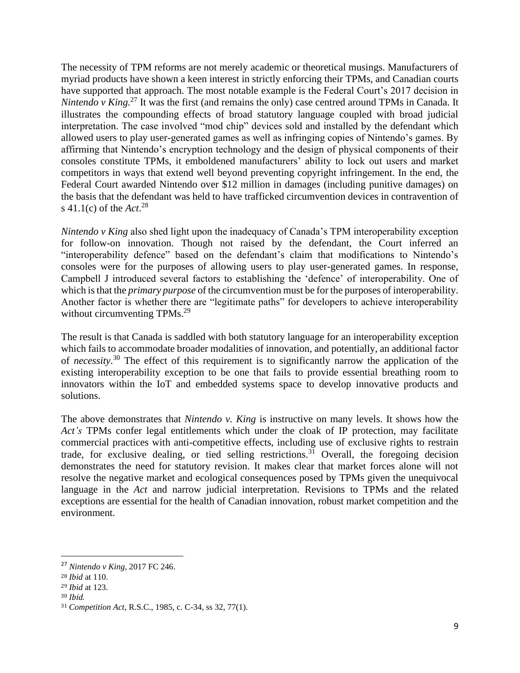The necessity of TPM reforms are not merely academic or theoretical musings. Manufacturers of myriad products have shown a keen interest in strictly enforcing their TPMs, and Canadian courts have supported that approach. The most notable example is the Federal Court's 2017 decision in *Nintendo v King.* <sup>27</sup> It was the first (and remains the only) case centred around TPMs in Canada. It illustrates the compounding effects of broad statutory language coupled with broad judicial interpretation. The case involved "mod chip" devices sold and installed by the defendant which allowed users to play user-generated games as well as infringing copies of Nintendo's games. By affirming that Nintendo's encryption technology and the design of physical components of their consoles constitute TPMs, it emboldened manufacturers' ability to lock out users and market competitors in ways that extend well beyond preventing copyright infringement. In the end, the Federal Court awarded Nintendo over \$12 million in damages (including punitive damages) on the basis that the defendant was held to have trafficked circumvention devices in contravention of s 41.1(c) of the *Act*. 28

*Nintendo v King* also shed light upon the inadequacy of Canada's TPM interoperability exception for follow-on innovation. Though not raised by the defendant, the Court inferred an "interoperability defence" based on the defendant's claim that modifications to Nintendo's consoles were for the purposes of allowing users to play user-generated games. In response, Campbell J introduced several factors to establishing the 'defence' of interoperability. One of which is that the *primary purpose* of the circumvention must be for the purposes of interoperability. Another factor is whether there are "legitimate paths" for developers to achieve interoperability without circumventing TPMs.<sup>29</sup>

The result is that Canada is saddled with both statutory language for an interoperability exception which fails to accommodate broader modalities of innovation, and potentially, an additional factor of *necessity*. <sup>30</sup> The effect of this requirement is to significantly narrow the application of the existing interoperability exception to be one that fails to provide essential breathing room to innovators within the IoT and embedded systems space to develop innovative products and solutions.

The above demonstrates that *Nintendo v. King* is instructive on many levels. It shows how the *Act's* TPMs confer legal entitlements which under the cloak of IP protection, may facilitate commercial practices with anti-competitive effects, including use of exclusive rights to restrain trade, for exclusive dealing, or tied selling restrictions.<sup>31</sup> Overall, the foregoing decision demonstrates the need for statutory revision. It makes clear that market forces alone will not resolve the negative market and ecological consequences posed by TPMs given the unequivocal language in the *Act* and narrow judicial interpretation. Revisions to TPMs and the related exceptions are essential for the health of Canadian innovation, robust market competition and the environment.

<sup>27</sup> *Nintendo v King,* 2017 FC 246.

<sup>28</sup> *Ibid* at 110.

<sup>29</sup> *Ibid* at 123.

<sup>30</sup> *Ibid.*

<sup>31</sup> *Competition Act*, R.S.C., 1985, c. C-34, ss 32, 77(1).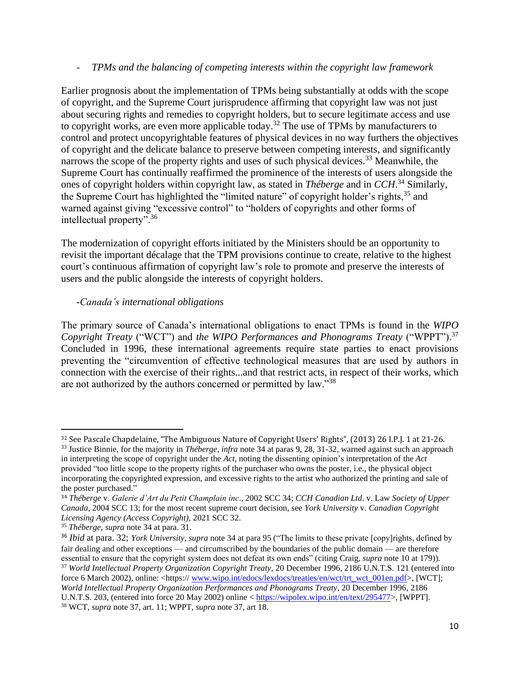#### - *TPMs and the balancing of competing interests within the copyright law framework*

Earlier prognosis about the implementation of TPMs being substantially at odds with the scope of copyright, and the Supreme Court jurisprudence affirming that copyright law was not just about securing rights and remedies to copyright holders, but to secure legitimate access and use to copyright works, are even more applicable today.<sup>32</sup> The use of TPMs by manufacturers to control and protect uncopyrightable features of physical devices in no way furthers the objectives of copyright and the delicate balance to preserve between competing interests, and significantly narrows the scope of the property rights and uses of such physical devices.<sup>33</sup> Meanwhile, the Supreme Court has continually reaffirmed the prominence of the interests of users alongside the ones of copyright holders within copyright law, as stated in *Théberge* and in *CCH*. <sup>34</sup> Similarly, the Supreme Court has highlighted the "limited nature" of copyright holder's rights, $35$  and warned against giving "excessive control" to "holders of copyrights and other forms of intellectual property".<sup>36</sup>

The modernization of copyright efforts initiated by the Ministers should be an opportunity to revisit the important décalage that the TPM provisions continue to create, relative to the highest court's continuous affirmation of copyright law's role to promote and preserve the interests of users and the public alongside the interests of copyright holders.

# *-Canada's international obligations*

The primary source of Canada's international obligations to enact TPMs is found in the *WIPO Copyright Treaty* ("WCT") and *the WIPO Performances and Phonograms Treaty* ("WPPT").<sup>37</sup> Concluded in 1996, these international agreements require state parties to enact provisions preventing the "circumvention of effective technological measures that are used by authors in connection with the exercise of their rights...and that restrict acts, in respect of their works, which are not authorized by the authors concerned or permitted by law."<sup>38</sup>

<sup>32</sup> See Pascale Chapdelaine, "The Ambiguous Nature of Copyright Users' Rights", (2013) 26 I.P.J. 1 at 21-26.

<sup>33</sup> Justice Binnie, for the majority in *Théberge*, *infra* note 34 at paras 9, 28, 31-32, warned against such an approach in interpreting the scope of copyright under the *Act,* noting the dissenting opinion's interpretation of the *Act*  provided "too little scope to the property rights of the purchaser who owns the poster, i.e., the physical object incorporating the copyrighted expression, and excessive rights to the artist who authorized the printing and sale of the poster purchased."

<sup>34</sup> *Théberge* v. *Galerie d'Art du Petit Champlain inc*., 2002 SCC 34; *CCH Canadian Ltd*. v. Law *Society of Upper Canada*, 2004 SCC 13; for the most recent supreme court decision, see *York University* v. *Canadian Copyright Licensing Agency (Access Copyright)*, 2021 SCC 32.

<sup>35</sup> *Théberge, supra* note 34 at para. 31.

<sup>36</sup> *Ibid* at para. 32; *York University, supra* note 34 at para 95 ("The limits to these private [copy]rights, defined by fair dealing and other exceptions — and circumscribed by the boundaries of the public domain — are therefore essential to ensure that the copyright system does not defeat its own ends" (citing Craig, *supra* note 10 at 179)). <sup>37</sup> *World Intellectual Property Organization Copyright Treaty,* 20 December 1996, 2186 U.N.T.S. 121 (entered into

force 6 March 2002), online: <https:// [www.wipo.int/edocs/lexdocs/treaties/en/wct/trt\\_wct\\_001en.pdf>](http://www.wipo.int/edocs/lexdocs/treaties/en/wct/trt_wct_001en.pdf), [WCT]; *World Intellectual Property Organization Performances and Phonograms Treaty*, 20 December 1996, 2186 U.N.T.S. 203, (entered into force 20 May 2002) online < [https://wipolex.wipo.int/en/text/295477>](https://wipolex.wipo.int/en/text/295477), [WPPT]. <sup>38</sup> WCT*, supra* note 37, art. 11; WPPT, *supra* note 37, art 18.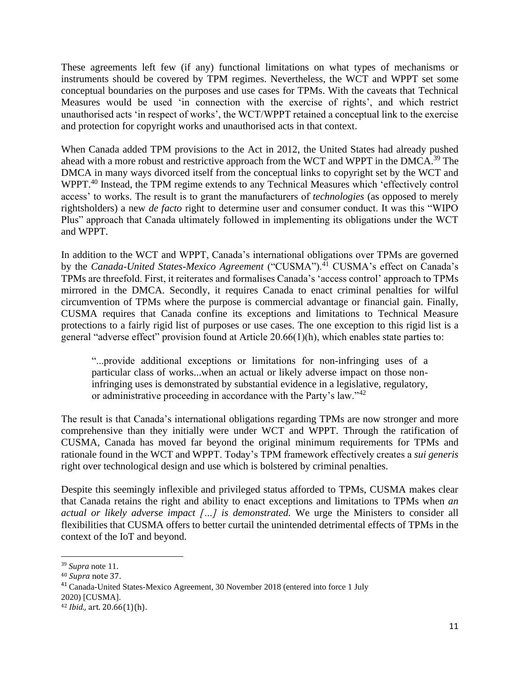These agreements left few (if any) functional limitations on what types of mechanisms or instruments should be covered by TPM regimes. Nevertheless, the WCT and WPPT set some conceptual boundaries on the purposes and use cases for TPMs. With the caveats that Technical Measures would be used 'in connection with the exercise of rights', and which restrict unauthorised acts 'in respect of works', the WCT/WPPT retained a conceptual link to the exercise and protection for copyright works and unauthorised acts in that context.

When Canada added TPM provisions to the Act in 2012, the United States had already pushed ahead with a more robust and restrictive approach from the WCT and WPPT in the DMCA.<sup>39</sup> The DMCA in many ways divorced itself from the conceptual links to copyright set by the WCT and WPPT.<sup>40</sup> Instead, the TPM regime extends to any Technical Measures which 'effectively control access' to works. The result is to grant the manufacturers of *technologies* (as opposed to merely rightsholders) a new *de facto* right to determine user and consumer conduct. It was this "WIPO Plus" approach that Canada ultimately followed in implementing its obligations under the WCT and WPPT.

In addition to the WCT and WPPT, Canada's international obligations over TPMs are governed by the *Canada-United States-Mexico Agreement* ("CUSMA").<sup>41</sup> CUSMA's effect on Canada's TPMs are threefold. First, it reiterates and formalises Canada's 'access control' approach to TPMs mirrored in the DMCA. Secondly, it requires Canada to enact criminal penalties for wilful circumvention of TPMs where the purpose is commercial advantage or financial gain. Finally, CUSMA requires that Canada confine its exceptions and limitations to Technical Measure protections to a fairly rigid list of purposes or use cases. The one exception to this rigid list is a general "adverse effect" provision found at Article 20.66(1)(h), which enables state parties to:

"...provide additional exceptions or limitations for non-infringing uses of a particular class of works...when an actual or likely adverse impact on those noninfringing uses is demonstrated by substantial evidence in a legislative, regulatory, or administrative proceeding in accordance with the Party's law."<sup>42</sup>

The result is that Canada's international obligations regarding TPMs are now stronger and more comprehensive than they initially were under WCT and WPPT. Through the ratification of CUSMA, Canada has moved far beyond the original minimum requirements for TPMs and rationale found in the WCT and WPPT. Today's TPM framework effectively creates a *sui generis*  right over technological design and use which is bolstered by criminal penalties.

Despite this seemingly inflexible and privileged status afforded to TPMs, CUSMA makes clear that Canada retains the right and ability to enact exceptions and limitations to TPMs when *an actual or likely adverse impact […] is demonstrated.* We urge the Ministers to consider all flexibilities that CUSMA offers to better curtail the unintended detrimental effects of TPMs in the context of the IoT and beyond.

<sup>39</sup> *Supra* note 11.

<sup>40</sup> *Supra* note 37.

<sup>41</sup> Canada-United States-Mexico Agreement, 30 November 2018 (entered into force 1 July 2020) [CUSMA]. <sup>42</sup> *Ibid.,* art. 20.66(1)(h).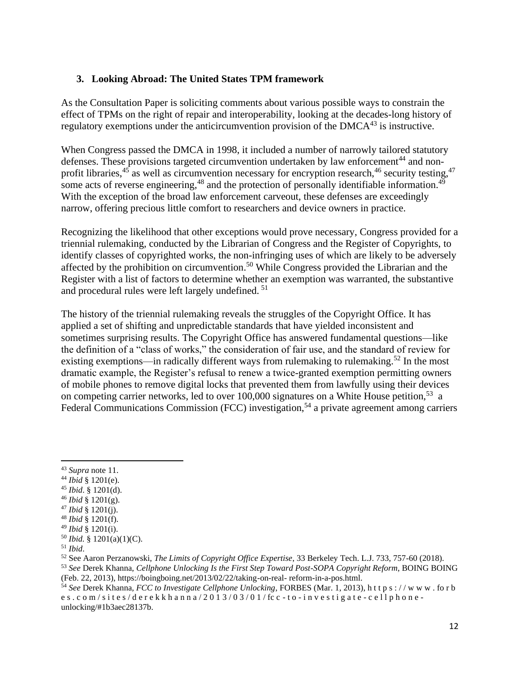# **3. Looking Abroad: The United States TPM framework**

As the Consultation Paper is soliciting comments about various possible ways to constrain the effect of TPMs on the right of repair and interoperability, looking at the decades-long history of regulatory exemptions under the anticircumvention provision of the  $DMCA<sup>43</sup>$  is instructive.

When Congress passed the DMCA in 1998, it included a number of narrowly tailored statutory defenses. These provisions targeted circumvention undertaken by law enforcement<sup>44</sup> and nonprofit libraries,<sup>45</sup> as well as circumvention necessary for encryption research,<sup>46</sup> security testing,<sup>47</sup> some acts of reverse engineering,<sup>48</sup> and the protection of personally identifiable information.<sup>49</sup> With the exception of the broad law enforcement carveout, these defenses are exceedingly narrow, offering precious little comfort to researchers and device owners in practice.

Recognizing the likelihood that other exceptions would prove necessary, Congress provided for a triennial rulemaking, conducted by the Librarian of Congress and the Register of Copyrights, to identify classes of copyrighted works, the non-infringing uses of which are likely to be adversely affected by the prohibition on circumvention.<sup>50</sup> While Congress provided the Librarian and the Register with a list of factors to determine whether an exemption was warranted, the substantive and procedural rules were left largely undefined. <sup>51</sup>

The history of the triennial rulemaking reveals the struggles of the Copyright Office. It has applied a set of shifting and unpredictable standards that have yielded inconsistent and sometimes surprising results. The Copyright Office has answered fundamental questions—like the definition of a "class of works," the consideration of fair use, and the standard of review for existing exemptions—in radically different ways from rulemaking to rulemaking.<sup>52</sup> In the most dramatic example, the Register's refusal to renew a twice-granted exemption permitting owners of mobile phones to remove digital locks that prevented them from lawfully using their devices on competing carrier networks, led to over 100,000 signatures on a White House petition,<sup>53</sup> a Federal Communications Commission (FCC) investigation,<sup>54</sup> a private agreement among carriers

- <sup>44</sup> *Ibid* § 1201(e).
- <sup>45</sup> *Ibid*. § 1201(d).
- <sup>46</sup> *Ibid* § 1201(g).
- <sup>47</sup> *Ibid* § 1201(j).
- <sup>48</sup> *Ibid* § 1201(f).
- <sup>49</sup> *Ibid* § 1201(i).
- <sup>50</sup> *Ibid.* § 1201(a)(1)(C).

<sup>52</sup> See Aaron Perzanowski, *The Limits of Copyright Office Expertise*, 33 Berkeley Tech. L.J. 733, 757-60 (2018). <sup>53</sup> *See* Derek Khanna, *Cellphone Unlocking Is the First Step Toward Post-SOPA Copyright Reform*, BOING BOING

(Feb. 22, 2013), https://boingboing.net/2013/02/22/taking-on-real- reform-in-a-pos.html.

<sup>43</sup> *Supra* note 11.

<sup>51</sup> *Ibid*.

<sup>54</sup> *See* Derek Khanna, *FCC to Investigate Cellphone Unlocking*, FORBES (Mar. 1, 2013), h t t p s : / / w w w . fo r b es.com/sites/derekkhanna/2013/03/01/fcc-to-investigate-cellphoneunlocking/#1b3aec28137b.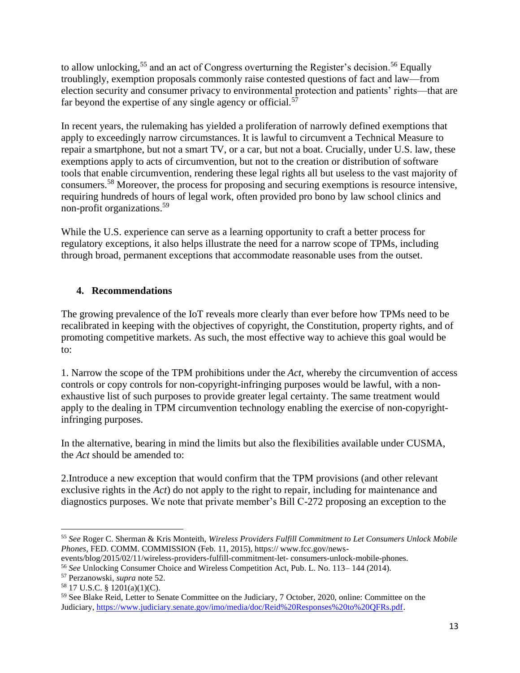to allow unlocking,<sup>55</sup> and an act of Congress overturning the Register's decision.<sup>56</sup> Equally troublingly, exemption proposals commonly raise contested questions of fact and law—from election security and consumer privacy to environmental protection and patients' rights—that are far beyond the expertise of any single agency or official.<sup>57</sup>

In recent years, the rulemaking has yielded a proliferation of narrowly defined exemptions that apply to exceedingly narrow circumstances. It is lawful to circumvent a Technical Measure to repair a smartphone, but not a smart TV, or a car, but not a boat. Crucially, under U.S. law, these exemptions apply to acts of circumvention, but not to the creation or distribution of software tools that enable circumvention, rendering these legal rights all but useless to the vast majority of consumers.<sup>58</sup> Moreover, the process for proposing and securing exemptions is resource intensive, requiring hundreds of hours of legal work, often provided pro bono by law school clinics and non-profit organizations.<sup>59</sup>

While the U.S. experience can serve as a learning opportunity to craft a better process for regulatory exceptions, it also helps illustrate the need for a narrow scope of TPMs, including through broad, permanent exceptions that accommodate reasonable uses from the outset.

# **4. Recommendations**

The growing prevalence of the IoT reveals more clearly than ever before how TPMs need to be recalibrated in keeping with the objectives of copyright, the Constitution, property rights, and of promoting competitive markets. As such, the most effective way to achieve this goal would be to:

1. Narrow the scope of the TPM prohibitions under the *Act,* whereby the circumvention of access controls or copy controls for non-copyright-infringing purposes would be lawful, with a nonexhaustive list of such purposes to provide greater legal certainty. The same treatment would apply to the dealing in TPM circumvention technology enabling the exercise of non-copyrightinfringing purposes.

In the alternative, bearing in mind the limits but also the flexibilities available under CUSMA, the *Act* should be amended to:

2.Introduce a new exception that would confirm that the TPM provisions (and other relevant exclusive rights in the *Act*) do not apply to the right to repair, including for maintenance and diagnostics purposes. We note that private member's Bill C-272 proposing an exception to the

<sup>55</sup> *See* Roger C. Sherman & Kris Monteith, *Wireless Providers Fulfill Commitment to Let Consumers Unlock Mobile Phones*, FED. COMM. COMMISSION (Feb. 11, 2015), https:// www.fcc.gov/news-

events/blog/2015/02/11/wireless-providers-fulfill-commitment-let- consumers-unlock-mobile-phones.

<sup>56</sup> *See* Unlocking Consumer Choice and Wireless Competition Act, Pub. L. No. 113– 144 (2014).

<sup>57</sup> Perzanowski, *supra* note 52.

<sup>58</sup> 17 U.S.C. § 1201(a)(1)(C).

<sup>&</sup>lt;sup>59</sup> See Blake Reid, Letter to Senate Committee on the Judiciary, 7 October, 2020, online: Committee on the Judiciary[, https://www.judiciary.senate.gov/imo/media/doc/Reid%20Responses%20to%20QFRs.pdf.](https://www.judiciary.senate.gov/imo/media/doc/Reid%20Responses%20to%20QFRs.pdf)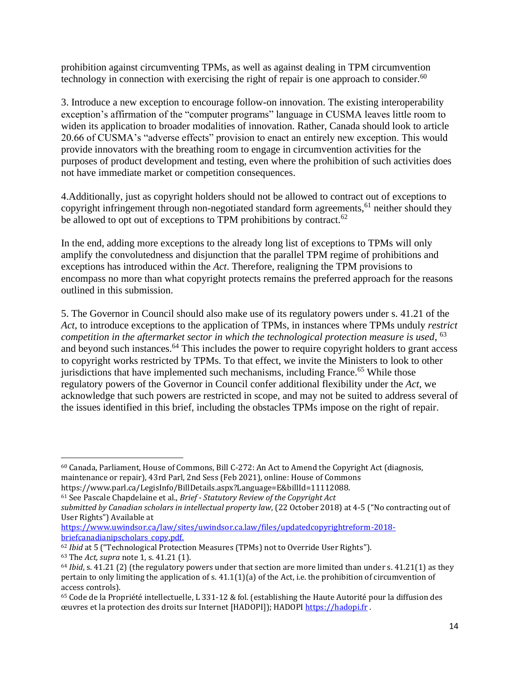prohibition against circumventing TPMs, as well as against dealing in TPM circumvention technology in connection with exercising the right of repair is one approach to consider. $60$ 

3. Introduce a new exception to encourage follow-on innovation. The existing interoperability exception's affirmation of the "computer programs" language in CUSMA leaves little room to widen its application to broader modalities of innovation. Rather, Canada should look to article 20.66 of CUSMA's "adverse effects" provision to enact an entirely new exception. This would provide innovators with the breathing room to engage in circumvention activities for the purposes of product development and testing, even where the prohibition of such activities does not have immediate market or competition consequences.

4.Additionally, just as copyright holders should not be allowed to contract out of exceptions to copyright infringement through non-negotiated standard form agreements, $61$  neither should they be allowed to opt out of exceptions to TPM prohibitions by contract.<sup>62</sup>

In the end, adding more exceptions to the already long list of exceptions to TPMs will only amplify the convolutedness and disjunction that the parallel TPM regime of prohibitions and exceptions has introduced within the *Act*. Therefore, realigning the TPM provisions to encompass no more than what copyright protects remains the preferred approach for the reasons outlined in this submission.

5. The Governor in Council should also make use of its regulatory powers under s. 41.21 of the *Act,* to introduce exceptions to the application of TPMs, in instances where TPMs unduly *restrict competition in the aftermarket sector in which the technological protection measure is used*, 63 and beyond such instances.<sup>64</sup> This includes the power to require copyright holders to grant access to copyright works restricted by TPMs. To that effect, we invite the Ministers to look to other jurisdictions that have implemented such mechanisms, including France.<sup>65</sup> While those regulatory powers of the Governor in Council confer additional flexibility under the *Act*, we acknowledge that such powers are restricted in scope, and may not be suited to address several of the issues identified in this brief, including the obstacles TPMs impose on the right of repair.

[https://www.uwindsor.ca/law/sites/uwindsor.ca.law/files/updatedcopyrightreform-2018](https://www.uwindsor.ca/law/sites/uwindsor.ca.law/files/updatedcopyrightreform-2018-briefcanadianipscholars_copy.pdf) [briefcanadianipscholars\\_copy.pdf.](https://www.uwindsor.ca/law/sites/uwindsor.ca.law/files/updatedcopyrightreform-2018-briefcanadianipscholars_copy.pdf)

<sup>62</sup> *Ibid* at 5 ("Technological Protection Measures (TPMs) not to Override User Rights").

<sup>60</sup> Canada, Parliament, House of Commons, Bill C-272: An Act to Amend the Copyright Act (diagnosis, maintenance or repair), 43rd Parl, 2nd Sess (Feb 2021), online: House of Commons https://www.parl.ca/LegisInfo/BillDetails.aspx?Language=E&billId=11112088.

<sup>61</sup> See Pascale Chapdelaine et al., *Brief - Statutory Review of the Copyright Act*

*submitted by Canadian scholars in intellectual property law*, (22 October 2018) at 4-5 ("No contracting out of User Rights") Available at

<sup>63</sup> The *Act, supra* note 1, s. 41.21 (1).

<sup>&</sup>lt;sup>64</sup> *Ibid*, s. 41.21 (2) (the regulatory powers under that section are more limited than under s. 41.21(1) as they pertain to only limiting the application of s.  $41.1(1)(a)$  of the Act, i.e. the prohibition of circumvention of access controls).

<sup>65</sup> Code de la Propriété intellectuelle, L 331-12 & fol. (establishing the Haute Autorité pour la diffusion des œuvres et la protection des droits sur Internet [HADOPI]); HADOP[I https://hadopi.fr](https://hadopi.fr/) .